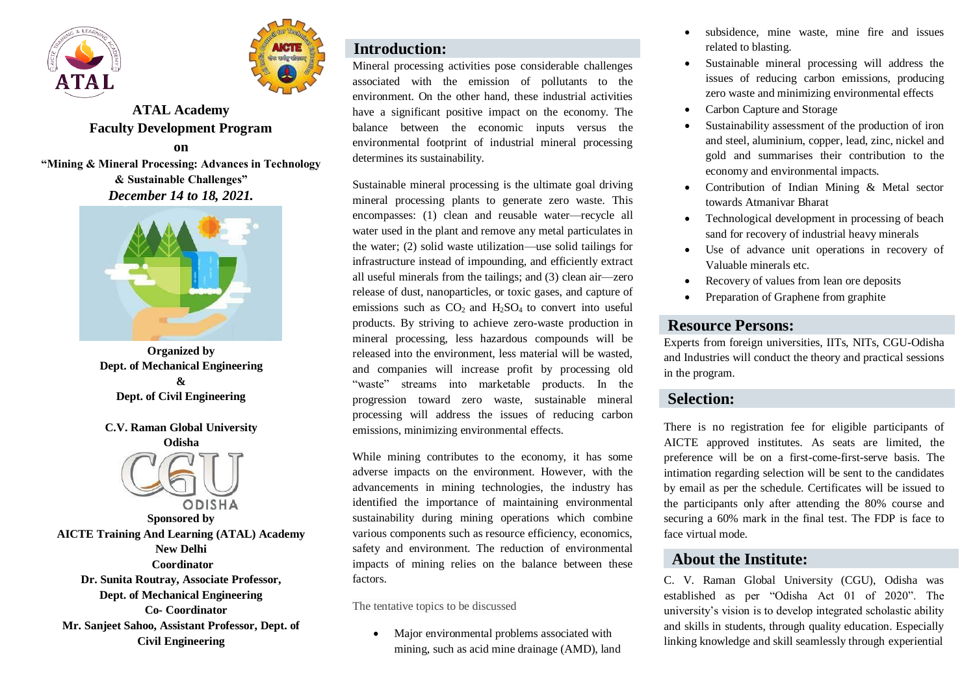



# **ATAL Academy Faculty Development Program**

**on**

**"Mining & Mineral Processing: Advances in Technology & Sustainable Challenges"** *December 14 to 18, 2021.*



**Organized by Dept. of Mechanical Engineering & Dept. of Civil Engineering**

## **C.V. Raman Global University**



**Sponsored by AICTE Training And Learning (ATAL) Academy New Delhi Coordinator Dr. Sunita Routray, Associate Professor, Dept. of Mechanical Engineering Co- Coordinator Mr. Sanjeet Sahoo, Assistant Professor, Dept. of Civil Engineering**

## **Introduction:**

Mineral processing activities pose considerable challenges associated with the emission of pollutants to the environment. On the other hand, these industrial activities have a significant positive impact on the economy. The balance between the economic inputs versus the environmental footprint of industrial mineral processing determines its sustainability.

Sustainable mineral processing is the ultimate goal driving mineral processing plants to generate zero waste. This encompasses: (1) clean and reusable water—recycle all water used in the plant and remove any metal particulates in the water; (2) solid waste utilization—use solid tailings for infrastructure instead of impounding, and efficiently extract all useful minerals from the tailings; and (3) clean air—zero release of dust, nanoparticles, or toxic gases, and capture of emissions such as  $CO<sub>2</sub>$  and H<sub>2</sub>SO<sub>4</sub> to convert into useful products. By striving to achieve zero-waste production in mineral processing, less hazardous compounds will be released into the environment, less material will be wasted, and companies will increase profit by processing old "waste" streams into marketable products. In the progression toward zero waste, sustainable mineral processing will address the issues of reducing carbon emissions, minimizing environmental effects.

While mining contributes to the economy, it has some adverse impacts on the environment. However, with the advancements in mining technologies, the industry has identified the importance of maintaining environmental sustainability during mining operations which combine various components such as resource efficiency, economics, safety and environment. The reduction of environmental impacts of mining relies on the balance between these factors.

The tentative topics to be discussed

• Major environmental problems associated with mining, such as acid mine drainage (AMD), land

- subsidence, mine waste, mine fire and issues related to blasting.
- Sustainable mineral processing will address the issues of reducing carbon emissions, producing zero waste and minimizing environmental effects
- Carbon Capture and Storage
- Sustainability assessment of the production of iron and steel, aluminium, copper, lead, zinc, nickel and gold and summarises their contribution to the economy and environmental impacts.
- Contribution of Indian Mining & Metal sector towards Atmanivar Bharat
- Technological development in processing of beach sand for recovery of industrial heavy minerals
- Use of advance unit operations in recovery of Valuable minerals etc.
- Recovery of values from lean ore deposits
- Preparation of Graphene from graphite

## **Resource Persons:**

Experts from foreign universities, IITs, NITs, CGU-Odisha and Industries will conduct the theory and practical sessions in the program.

## **Selection:**

There is no registration fee for eligible participants of AICTE approved institutes. As seats are limited, the preference will be on a first-come-first-serve basis. The intimation regarding selection will be sent to the candidates by email as per the schedule. Certificates will be issued to the participants only after attending the 80% course and securing a 60% mark in the final test. The FDP is face to face virtual mode.

## **About the Institute:**

C. V. Raman Global University (CGU), Odisha was established as per "Odisha Act 01 of 2020". The university's vision is to develop integrated scholastic ability and skills in students, through quality education. Especially linking knowledge and skill seamlessly through experiential